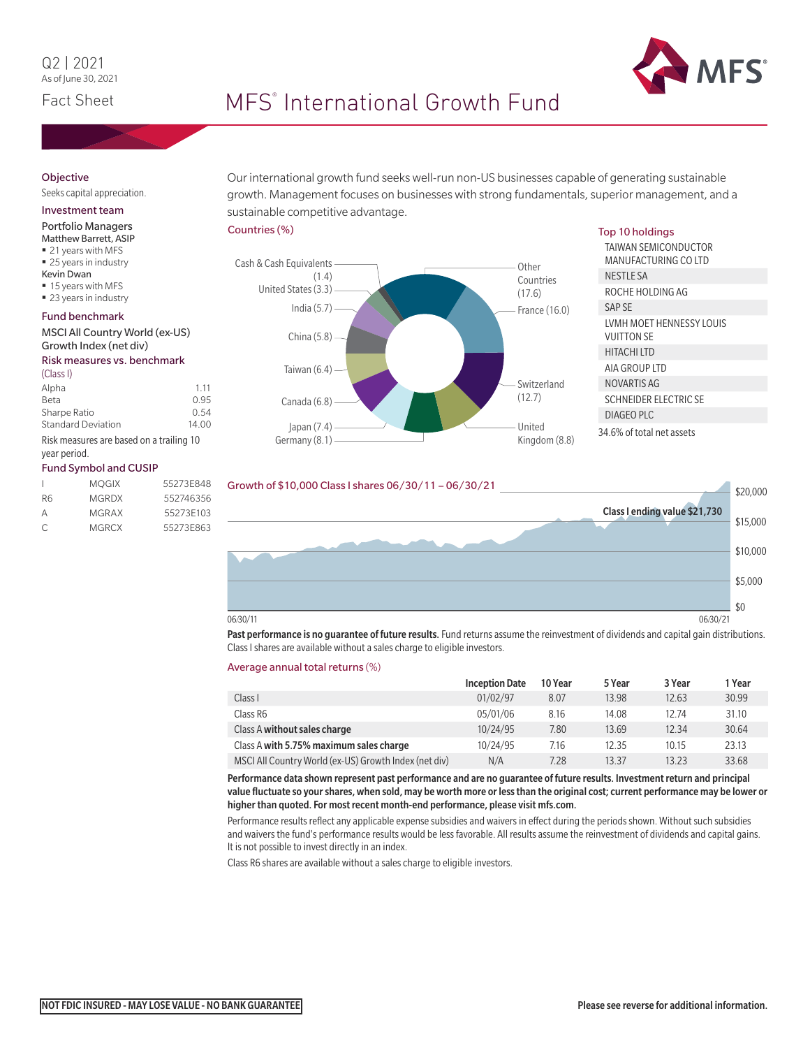

# Fact Sheet **International Growth Fund**

## **Objective**

## Seeks capital appreciation.

Investment team

## Portfolio Managers

- Matthew Barrett, ASIP ■ 21 years with MFS
- 25 years in industry
- Kevin Dwan
- 15 years with MFS
- 23 years in industry

#### Fund benchmark

#### MSCI All Country World (ex-US) Growth Index (net div)

#### Risk measures vs. benchmark

| (Class I)                                |       |
|------------------------------------------|-------|
| Alpha                                    | 1.11  |
| Beta                                     | 0.95  |
| Sharpe Ratio                             | 0.54  |
| <b>Standard Deviation</b>                | 14.00 |
| Dick moneures are based on a trailing 10 |       |

Risk measures are based on a trailing 10 year period.

### Fund Symbol and CUSIP

|    | <b>MOGIX</b> | 55273F848 |
|----|--------------|-----------|
| R6 | <b>MGRDX</b> | 552746356 |
| Α  | MGRAX        | 55273F103 |
| C. | <b>MGRCX</b> | 55273E863 |

Our international growth fund seeks well-run non-US businesses capable of generating sustainable growth. Management focuses on businesses with strong fundamentals, superior management, and a sustainable competitive advantage.

#### Countries (%)



#### Top 10 holdings

| TAIWAN SEMICONDUCTOR<br>MANUFACTURING CO LTD  |  |
|-----------------------------------------------|--|
| NESTLE SA                                     |  |
| ROCHE HOLDING AG                              |  |
| SAP SE                                        |  |
| LVMH MOET HENNESSY LOUIS<br><b>VUITTON SE</b> |  |
| HITACHI I TD                                  |  |
| AIA GROUP ITD                                 |  |
| NOVARTIS AG                                   |  |
| <b>SCHNEIDER ELECTRIC SF</b>                  |  |
| DIAGEO PLC                                    |  |
| 34.6% of total net assets                     |  |



Past performance is no guarantee of future results. Fund returns assume the reinvestment of dividends and capital gain distributions. Class I shares are available without a sales charge to eligible investors.

#### Average annual total returns (%)

|                                                       | <b>Inception Date</b> | 10 Year | 5 Year | 3 Year | 1 Year |
|-------------------------------------------------------|-----------------------|---------|--------|--------|--------|
| Class I                                               | 01/02/97              | 8.07    | 13.98  | 12.63  | 30.99  |
| Class R6                                              | 05/01/06              | 8.16    | 14.08  | 12.74  | 31.10  |
| Class A without sales charge                          | 10/24/95              | 7.80    | 13.69  | 12.34  | 30.64  |
| Class A with 5.75% maximum sales charge               | 10/24/95              | 7.16    | 12.35  | 10.15  | 23.13  |
| MSCI All Country World (ex-US) Growth Index (net div) | N/A                   | 7.28    | 13.37  | 13.23  | 33.68  |

Performance data shown represent past performance and are no guarantee of future results. Investment return and principal value fluctuate so your shares, when sold, may be worth more or less than the original cost; current performance may be lower or higher than quoted. For most recent month-end performance, please visit mfs.com.

Performance results reflect any applicable expense subsidies and waivers in effect during the periods shown. Without such subsidies and waivers the fund's performance results would be less favorable. All results assume the reinvestment of dividends and capital gains. It is not possible to invest directly in an index.

Class R6 shares are available without a sales charge to eligible investors.